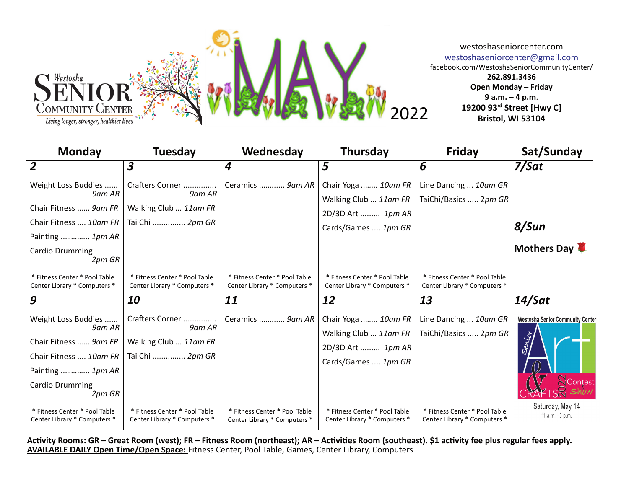

| <b>Monday</b>                                                                                                                     | <b>Tuesday</b>                                                        | Wednesday                                                     | Thursday                                                                                 | Friday                                                        | Sat/Sunday                                                    |
|-----------------------------------------------------------------------------------------------------------------------------------|-----------------------------------------------------------------------|---------------------------------------------------------------|------------------------------------------------------------------------------------------|---------------------------------------------------------------|---------------------------------------------------------------|
| $\overline{2}$                                                                                                                    | 3                                                                     | 4                                                             | 5                                                                                        | 6                                                             | 7/Sat                                                         |
| Weight Loss Buddies<br>9am AR                                                                                                     | 9am AR                                                                | Crafters Corner    Ceramics  9am AR                           | Chair Yoga  10am FR                                                                      | Line Dancing  10am GR                                         |                                                               |
| Chair Fitness  9am FR                                                                                                             | Walking Club  11am FR                                                 |                                                               | Walking Club  11am FR<br>2D/3D Art  1pm AR                                               | TaiChi/Basics  2pm GR                                         |                                                               |
| Chair Fitness  10am FR                                                                                                            | Tai Chi  2pm GR                                                       |                                                               | Cards/Games  1pm GR                                                                      |                                                               | 8/Sun                                                         |
| Painting  1pm AR<br><b>Cardio Drumming</b><br>2pm GR                                                                              |                                                                       |                                                               |                                                                                          |                                                               | Mothers Day                                                   |
| * Fitness Center * Pool Table<br>Center Library * Computers *                                                                     | * Fitness Center * Pool Table<br>Center Library * Computers *         | * Fitness Center * Pool Table<br>Center Library * Computers * | * Fitness Center * Pool Table<br>Center Library * Computers *                            | * Fitness Center * Pool Table<br>Center Library * Computers * |                                                               |
| 9                                                                                                                                 | 10                                                                    | 11                                                            | 12                                                                                       | 13                                                            | $14/S$ at                                                     |
| Weight Loss Buddies<br>9am AR<br>Chair Fitness  9am FR<br>Chair Fitness  10am FR<br>Painting  1pm AR<br>Cardio Drumming<br>2pm GR | Crafters Corner<br>9am AR<br>Walking Club  11am FR<br>Tai Chi  2pm GR | Ceramics  9am AR                                              | Chair Yoga  10am FR<br>Walking Club  11am FR<br>2D/3D Art  1pm AR<br>Cards/Games  1pm GR | Line Dancing  10am GR<br>TaiChi/Basics  2pm GR                | <b>Westosha Senior Community Center</b><br>Servior<br>Contest |
| * Fitness Center * Pool Table<br>Center Library * Computers *                                                                     | * Fitness Center * Pool Table<br>Center Library * Computers *         | * Fitness Center * Pool Table<br>Center Library * Computers * | * Fitness Center * Pool Table<br>Center Library * Computers *                            | * Fitness Center * Pool Table<br>Center Library * Computers * | Saturday, May 14<br>11 a.m. - 3 p.m.                          |

Activity Rooms: GR – Great Room (west); FR – Fitness Room (northeast); AR – Activities Room (southeast). \$1 activity fee plus regular fees apply. **AVAILABLE DAILY Open Time/Open Space:** Fitness Center, Pool Table, Games, Center Library, Computers